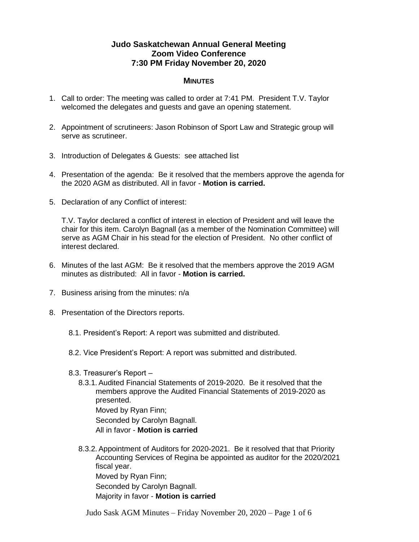## **Judo Saskatchewan Annual General Meeting Zoom Video Conference 7:30 PM Friday November 20, 2020**

## **MINUTES**

- 1. Call to order: The meeting was called to order at 7:41 PM. President T.V. Taylor welcomed the delegates and guests and gave an opening statement.
- 2. Appointment of scrutineers: Jason Robinson of Sport Law and Strategic group will serve as scrutineer.
- 3. Introduction of Delegates & Guests: see attached list
- 4. Presentation of the agenda: Be it resolved that the members approve the agenda for the 2020 AGM as distributed. All in favor - **Motion is carried.**
- 5. Declaration of any Conflict of interest:

T.V. Taylor declared a conflict of interest in election of President and will leave the chair for this item. Carolyn Bagnall (as a member of the Nomination Committee) will serve as AGM Chair in his stead for the election of President. No other conflict of interest declared.

- 6. Minutes of the last AGM: Be it resolved that the members approve the 2019 AGM minutes as distributed: All in favor - **Motion is carried.**
- 7. Business arising from the minutes: n/a
- 8. Presentation of the Directors reports.
	- 8.1. President's Report: A report was submitted and distributed.
	- 8.2. Vice President's Report: A report was submitted and distributed.
	- 8.3. Treasurer's Report
		- 8.3.1. Audited Financial Statements of 2019-2020. Be it resolved that the members approve the Audited Financial Statements of 2019-2020 as presented. Moved by Ryan Finn; Seconded by Carolyn Bagnall. All in favor - **Motion is carried**
		- 8.3.2. Appointment of Auditors for 2020-2021. Be it resolved that that Priority Accounting Services of Regina be appointed as auditor for the 2020/2021 fiscal year. Moved by Ryan Finn; Seconded by Carolyn Bagnall. Majority in favor - **Motion is carried**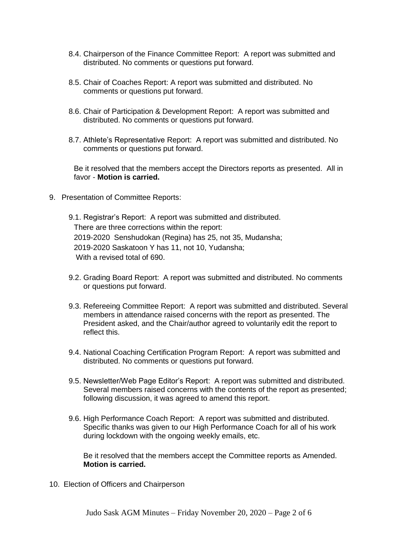- 8.4. Chairperson of the Finance Committee Report: A report was submitted and distributed. No comments or questions put forward.
- 8.5. Chair of Coaches Report: A report was submitted and distributed. No comments or questions put forward.
- 8.6. Chair of Participation & Development Report: A report was submitted and distributed. No comments or questions put forward.
- 8.7. Athlete's Representative Report: A report was submitted and distributed. No comments or questions put forward.

Be it resolved that the members accept the Directors reports as presented. All in favor - **Motion is carried.**

- 9. Presentation of Committee Reports:
	- 9.1. Registrar's Report: A report was submitted and distributed. There are three corrections within the report: 2019-2020 Senshudokan (Regina) has 25, not 35, Mudansha; 2019-2020 Saskatoon Y has 11, not 10, Yudansha; With a revised total of 690.
	- 9.2. Grading Board Report: A report was submitted and distributed. No comments or questions put forward.
	- 9.3. Refereeing Committee Report: A report was submitted and distributed. Several members in attendance raised concerns with the report as presented. The President asked, and the Chair/author agreed to voluntarily edit the report to reflect this.
	- 9.4. National Coaching Certification Program Report: A report was submitted and distributed. No comments or questions put forward.
	- 9.5. Newsletter/Web Page Editor's Report: A report was submitted and distributed. Several members raised concerns with the contents of the report as presented; following discussion, it was agreed to amend this report.
	- 9.6. High Performance Coach Report: A report was submitted and distributed. Specific thanks was given to our High Performance Coach for all of his work during lockdown with the ongoing weekly emails, etc.

Be it resolved that the members accept the Committee reports as Amended. **Motion is carried.**

10. Election of Officers and Chairperson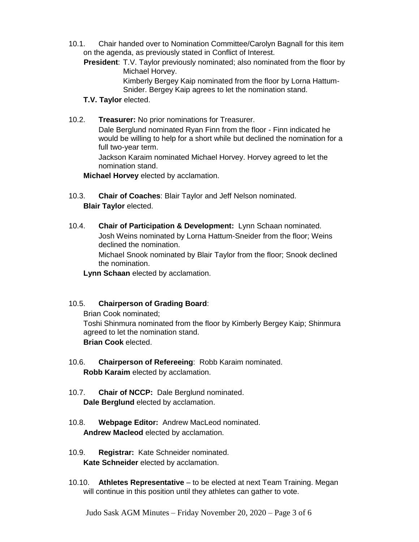10.1. Chair handed over to Nomination Committee/Carolyn Bagnall for this item on the agenda, as previously stated in Conflict of Interest.

**President**: T.V. Taylor previously nominated; also nominated from the floor by Michael Horvey. Kimberly Bergey Kaip nominated from the floor by Lorna Hattum-Snider. Bergey Kaip agrees to let the nomination stand.

## **T.V. Taylor** elected.

10.2. **Treasurer:** No prior nominations for Treasurer.

Dale Berglund nominated Ryan Finn from the floor - Finn indicated he would be willing to help for a short while but declined the nomination for a full two-year term.

Jackson Karaim nominated Michael Horvey. Horvey agreed to let the nomination stand.

**Michael Horvey** elected by acclamation.

- 10.3. **Chair of Coaches**: Blair Taylor and Jeff Nelson nominated. **Blair Taylor** elected.
- 10.4. **Chair of Participation & Development:** Lynn Schaan nominated. Josh Weins nominated by Lorna Hattum-Sneider from the floor; Weins declined the nomination.

Michael Snook nominated by Blair Taylor from the floor; Snook declined the nomination.

**Lynn Schaan** elected by acclamation.

## 10.5. **Chairperson of Grading Board**:

Brian Cook nominated;

Toshi Shinmura nominated from the floor by Kimberly Bergey Kaip; Shinmura agreed to let the nomination stand.

**Brian Cook** elected.

- 10.6. **Chairperson of Refereeing**: Robb Karaim nominated. **Robb Karaim** elected by acclamation.
- 10.7. **Chair of NCCP:** Dale Berglund nominated. **Dale Berglund** elected by acclamation.
- 10.8. **Webpage Editor:** Andrew MacLeod nominated. **Andrew Macleod** elected by acclamation.
- 10.9. **Registrar:** Kate Schneider nominated. **Kate Schneider** elected by acclamation.
- 10.10. **Athletes Representative** to be elected at next Team Training. Megan will continue in this position until they athletes can gather to vote.

Judo Sask AGM Minutes – Friday November 20, 2020 – Page 3 of 6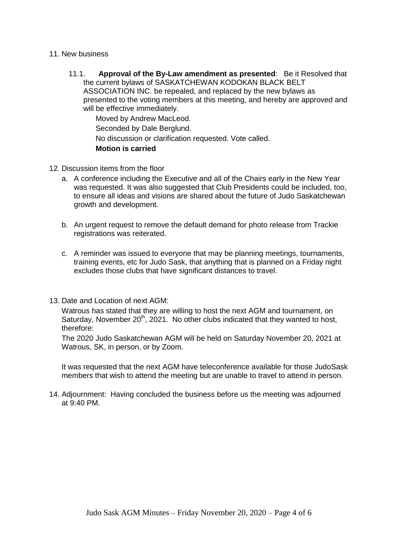- 11. New business
	- 11.1. **Approval of the By-Law amendment as presented**: Be it Resolved that the current bylaws of SASKATCHEWAN KODOKAN BLACK BELT ASSOCIATION INC. be repealed, and replaced by the new bylaws as presented to the voting members at this meeting, and hereby are approved and will be effective immediately. Moved by Andrew MacLeod. Seconded by Dale Berglund.

No discussion or clarification requested. Vote called.

**Motion is carried**

- 12. Discussion items from the floor
	- a. A conference including the Executive and all of the Chairs early in the New Year was requested. It was also suggested that Club Presidents could be included, too, to ensure all ideas and visions are shared about the future of Judo Saskatchewan growth and development.
	- b. An urgent request to remove the default demand for photo release from Trackie registrations was reiterated.
	- c. A reminder was issued to everyone that may be planning meetings, tournaments, training events, etc for Judo Sask, that anything that is planned on a Friday night excludes those clubs that have significant distances to travel.
- 13. Date and Location of next AGM:

Watrous has stated that they are willing to host the next AGM and tournament, on Saturday, November  $20<sup>th</sup>$ , 2021. No other clubs indicated that they wanted to host, therefore:

The 2020 Judo Saskatchewan AGM will be held on Saturday November 20, 2021 at Watrous, SK, in person, or by Zoom.

It was requested that the next AGM have teleconference available for those JudoSask members that wish to attend the meeting but are unable to travel to attend in person.

14. Adjournment: Having concluded the business before us the meeting was adjourned at 9:40 PM.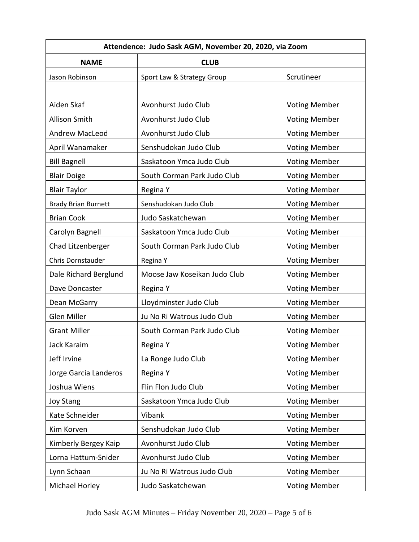| Attendence: Judo Sask AGM, November 20, 2020, via Zoom |                              |                      |
|--------------------------------------------------------|------------------------------|----------------------|
| <b>NAME</b>                                            | <b>CLUB</b>                  |                      |
| Jason Robinson                                         | Sport Law & Strategy Group   | Scrutineer           |
|                                                        |                              |                      |
| Aiden Skaf                                             | Avonhurst Judo Club          | <b>Voting Member</b> |
| Allison Smith                                          | Avonhurst Judo Club          | <b>Voting Member</b> |
| <b>Andrew MacLeod</b>                                  | Avonhurst Judo Club          | <b>Voting Member</b> |
| April Wanamaker                                        | Senshudokan Judo Club        | <b>Voting Member</b> |
| <b>Bill Bagnell</b>                                    | Saskatoon Ymca Judo Club     | <b>Voting Member</b> |
| <b>Blair Doige</b>                                     | South Corman Park Judo Club  | <b>Voting Member</b> |
| <b>Blair Taylor</b>                                    | Regina Y                     | <b>Voting Member</b> |
| <b>Brady Brian Burnett</b>                             | Senshudokan Judo Club        | <b>Voting Member</b> |
| <b>Brian Cook</b>                                      | Judo Saskatchewan            | <b>Voting Member</b> |
| Carolyn Bagnell                                        | Saskatoon Ymca Judo Club     | <b>Voting Member</b> |
| Chad Litzenberger                                      | South Corman Park Judo Club  | <b>Voting Member</b> |
| Chris Dornstauder                                      | Regina Y                     | <b>Voting Member</b> |
| Dale Richard Berglund                                  | Moose Jaw Koseikan Judo Club | <b>Voting Member</b> |
| Dave Doncaster                                         | Regina Y                     | <b>Voting Member</b> |
| Dean McGarry                                           | Lloydminster Judo Club       | <b>Voting Member</b> |
| Glen Miller                                            | Ju No Ri Watrous Judo Club   | <b>Voting Member</b> |
| <b>Grant Miller</b>                                    | South Corman Park Judo Club  | <b>Voting Member</b> |
| Jack Karaim                                            | Regina Y                     | <b>Voting Member</b> |
| Jeff Irvine                                            | La Ronge Judo Club           | <b>Voting Member</b> |
| Jorge Garcia Landeros                                  | Regina Y                     | <b>Voting Member</b> |
| Joshua Wiens                                           | Flin Flon Judo Club          | <b>Voting Member</b> |
| <b>Joy Stang</b>                                       | Saskatoon Ymca Judo Club     | <b>Voting Member</b> |
| Kate Schneider                                         | Vibank                       | <b>Voting Member</b> |
| Kim Korven                                             | Senshudokan Judo Club        | <b>Voting Member</b> |
| Kimberly Bergey Kaip                                   | Avonhurst Judo Club          | <b>Voting Member</b> |
| Lorna Hattum-Snider                                    | Avonhurst Judo Club          | <b>Voting Member</b> |
| Lynn Schaan                                            | Ju No Ri Watrous Judo Club   | <b>Voting Member</b> |
| Michael Horley                                         | Judo Saskatchewan            | <b>Voting Member</b> |